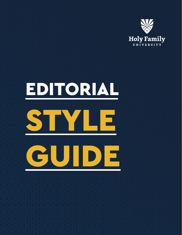

# EDITORIAL

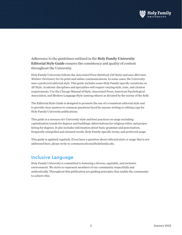

Adherence to the guidelines outlined in the Holy Family University Editorial Style Guide ensures the consistency and quality of content throughout the University.

Holy Family University follows the *Associated Press Stylebook (AP Style)* and uses *Merriam-Webster Dictionary* for its print and online communications. In some cases, the University uses a preferred editorial style. This guide includes some Holy Family-specific variations on AP Style. Academic disciplines and specialties will require varying style, tone, and citation requirements. Use the Chicago Manual of Style, Associated Press, American Psychological Association, and Modern Language Style (among others) as dictated by the norms of the field.

The Editorial Style Guide is designed to promote the use of a consistent editorial style and to provide clear answers to common questions faced by anyone writing or editing copy for Holy Family University publications.

This guide is a resource for University style and best practices on usage including capitalization trends for degrees and buildings, abbreviations for religious titles, and proper listing for degrees. It also includes information about basic grammar and punctuation, frequently misspelled and misused words, Holy Family-specific terms, and preferred usage.

This guide is updated regularly. If you have a question about editorial style or usage that is not addressed here, please write to communications@holyfamily.edu.

# Inclusive Language

Holy Family University is committed to fostering a diverse, equitable, and inclusive environment. We strive to represent members of our community respectfully and authentically. Throughout this publication are guiding principles that enable the community to achieve this.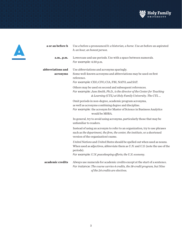



| a or an before h  | Use a before a pronounced h: a historian, a horse. Use an before an aspirated                                                                                                                            |
|-------------------|----------------------------------------------------------------------------------------------------------------------------------------------------------------------------------------------------------|
|                   | h: an hour, an honest person.                                                                                                                                                                            |
| a.m., p.m.        | Lowercase and use periods. Use with a space between numerals.<br>For example: 4:30 p.m.                                                                                                                  |
| abbreviations and | Use abbreviations and acronyms sparingly.                                                                                                                                                                |
| acronyms          | Some well-known acronyms and abbreviations may be used on first<br>reference.                                                                                                                            |
|                   | For example: CEO, CFO, CIA, FBI, NATO, and SAT.                                                                                                                                                          |
|                   | Others may be used on second and subsequent references.<br>For example: Jane Smith, Ph.D., is the director of the Center for Teaching<br>& Learning (CTL) at Holy Family University. The CTL             |
|                   | Omit periods in non-degree, academic program acronyms,<br>as well as acronyms combining degree and discipline.<br>For example: the acronym for Master of Science in Business Analytics<br>would be MSBA. |
|                   | In general, try to avoid using acronyms, particularly those that may be<br>unfamiliar to readers.                                                                                                        |
|                   | Instead of using an acronym to refer to an organization, try to use phrases<br>such as the department, the firm, the center, the institute, or a shortened<br>version of the organization's name.        |
|                   | United Nations and United States should be spelled out when used as nouns.<br>When used as adjectives, abbreviate them as U.N. and U.S. (note the use of the<br>periods).                                |
|                   | For example: U.N. peacekeeping efforts; the U.S. economy.                                                                                                                                                |
| academic credits  | Always use numerals for academic credits except at the start of a sentence.<br>For instance: The course carries 4 credits, the 18-credit program, but Nine<br>of the 24 credits are electives.           |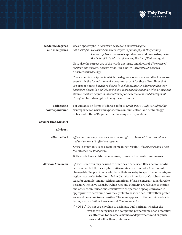

| academic degrees<br>and disciplines | Use an apostrophe in bachelor's degree and master's degree.<br>For example: He earned a master's degree in philosophy at Holy Family<br>University. Note the use of capitalization and no apostrophe in<br>Bachelor of Arts, Master of Science, Doctor of Philosophy, etc.                                                                                                                                                                                                                                                                                                                                                                                                                                                                                                                             |
|-------------------------------------|--------------------------------------------------------------------------------------------------------------------------------------------------------------------------------------------------------------------------------------------------------------------------------------------------------------------------------------------------------------------------------------------------------------------------------------------------------------------------------------------------------------------------------------------------------------------------------------------------------------------------------------------------------------------------------------------------------------------------------------------------------------------------------------------------------|
|                                     | Note also the correct use of the words doctorate and doctoral: She received<br>master's and doctoral degrees from Holy Family University. She earned<br>a doctorate in theology.                                                                                                                                                                                                                                                                                                                                                                                                                                                                                                                                                                                                                       |
|                                     | The academic discipline in which the degree was earned should be lowercase,<br>even if it is the formal name of a program, except for those disciplines that<br>are proper nouns: bachelor's degree in sociology, master's degree in theology,<br>bachelor's degree in English, bachelor's degree in African and African American<br>studies, master's degree in international political economy and development.<br>This guideline also applies to majors and minors.                                                                                                                                                                                                                                                                                                                                 |
| addressing<br>correspondence        | For guidance on forms of address, refer to Emily Post's Guide to Addressing<br>Correspondence.www.emilypost.com/communication-and-technology/<br>notes-and-letters/96-guide-to-addressing-correspondence                                                                                                                                                                                                                                                                                                                                                                                                                                                                                                                                                                                               |
| adviser (not advisor)               |                                                                                                                                                                                                                                                                                                                                                                                                                                                                                                                                                                                                                                                                                                                                                                                                        |
| advisory                            |                                                                                                                                                                                                                                                                                                                                                                                                                                                                                                                                                                                                                                                                                                                                                                                                        |
| affect, effect                      | Affect is commonly used as a verb meaning "to influence." Your attendance<br>and test scores will affect your grade.                                                                                                                                                                                                                                                                                                                                                                                                                                                                                                                                                                                                                                                                                   |
|                                     | Effect is commonly used as a noun meaning "result." His test score had a posi-<br>tive effect on his final grade.                                                                                                                                                                                                                                                                                                                                                                                                                                                                                                                                                                                                                                                                                      |
|                                     | Both words have additional meanings; these are the most common uses.                                                                                                                                                                                                                                                                                                                                                                                                                                                                                                                                                                                                                                                                                                                                   |
| <b>African American</b>             | African American may be used to describe an American Black person of Afri-<br>can descent, but the descriptions African American and Black are not inter-<br>changeable. People of color who trace their ancestry to a particular country or<br>region may prefer to be identified as Jamaican American or Caribbean Amer-<br>ican, for example, and not African American. Black is generally considered to<br>be a more inclusive term, but when race and ethnicity are relevant to stories<br>and other communications, consult with the person or people involved if<br>appropriate to determine how they prefer to be identified; follow their prefer-<br>ence and be as precise as possible. The same applies to other ethnic and racial<br>terms, such as Italian American and Chinese American. |
|                                     | / NOTE / Do not use a hyphen to designate dual heritage, whether the<br>words are being used as a compound proper name or as a modifier.<br>Pay attention to the official names of departments and organiza-                                                                                                                                                                                                                                                                                                                                                                                                                                                                                                                                                                                           |

tions, and follow their preference.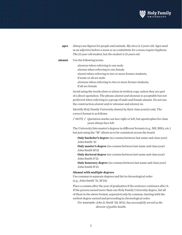

| ages | Always use figures for people and animals. My niece is 2 years old. Ages used |
|------|-------------------------------------------------------------------------------|
|      | as an adjective before a noun or as a substitute for a noun require hyphens:  |
|      | The 21-year-old student, but the student is 21 years old.                     |

# **alumni** Use the following terms:

 *alumnus* when referring to one male *alumna* when referring to one female *alumni* when referring to two or more former students, if some or all are male *alumnae* when referring to two or more former students, if all are female

 Avoid using the words *alum* or *alums* in written copy, unless they are part of a direct quotation. The phrase *alumni and alumnae* is acceptable but not preferred when referring to a group of male and female alumni. Do not use the construction *alumni and/or alumnae* and *alumni/ae*.

 Identify Holy Family University alumni by their class year(s) only. The correct format is as follows:

/ NOTE / Quotation marks can face right or left, but apostrophes for class years always face left.

 The University lists master's degrees in different formats (e.g., MS, MBA, etc.) but just using the "M" allows us to be consistent across the board.

 **Only bachelor's degree** (no comma between last name and class year) John Smith '21

**Only master's degree** (no comma between last name and class year) John Smith M'21

**Only doctoral degree** (no comma between last name and class year) John Smith D'21

**Only honorary degree** (no comma between last name and class year) John Smith H'21

## **Alumni with multiple degrees**

Use commas to separate degrees and list in chronological order (e.g., John Smith '21, M'22)

 Place a comma after the year of graduation if the sentence continues after it. If the person earned more than one Holy Family University degree, list all of them in the above format, separated only by commas, starting with the earliest degree earned and proceeding in chronological order.

 *For example: John D. Smith '58, M'61, has successfully served as the director of public health.*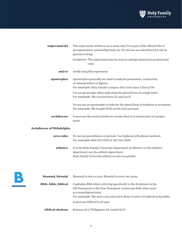

| ampersand $(x)$ | The ampersand, written as $\&$ , is used only if it is part of the official title of<br>an organization, scholarship fund, etc. Do not use as a shorthand for and in<br>general writing. |
|-----------------|------------------------------------------------------------------------------------------------------------------------------------------------------------------------------------------|
|                 | Exception: The ampersand may be used as a design element in promotional<br>copy.                                                                                                         |
| and/or          | Avoid using this expression.                                                                                                                                                             |
| apostrophes     | Apostrophes generally are used to indicate possession, contraction,<br>or missing letters or figures.<br>For example: Holy Family's campus; don't miss class; Class of '99.              |
|                 | Use an apostrophe when indicating the plural form of a single letter.<br>For example: She received three A's and one B.                                                                  |
|                 | Do not use an apostrophe to indicate the plural form of numbers or acronyms.<br>For example: She bought DVDs at the local yard sale.                                                     |
| archdiocese     | Lowercase the word <i>archdiocese</i> except when it is used as part of a proper<br>name.                                                                                                |

# **Archdiocese of Philadelphia**

| area codes | Do not use parentheses or periods. Use hyphens with phone numbers.<br>For example: 800-555-5555 or 267-341-3000.             |
|------------|------------------------------------------------------------------------------------------------------------------------------|
| athletics  | It is the Holy Family University Department of Athletics or the athletics<br><i>department, not the athletic department.</i> |
|            | Holy Family University athletics is also acceptable.                                                                         |



| biannual, biennial            | Biannual is twice a year. Biennial is every two years.                                                                                                                                                                                                                                                    |
|-------------------------------|-----------------------------------------------------------------------------------------------------------------------------------------------------------------------------------------------------------------------------------------------------------------------------------------------------------|
| <b>Bible, bible, biblical</b> | Capitalize Bible when referring specifically to the Scriptures in the<br>Old Testament or the New Testament. Lowercase <i>bible</i> when used<br>as a nonreligious term.<br>For example: The new cook referred to <i>Betty Crocker's Cookbook</i> as his bible.<br>Lowercase <i>biblical</i> in all uses. |
| biblical citations            | Romans 12:2, Philippians 4:8, Isaiah 41:10                                                                                                                                                                                                                                                                |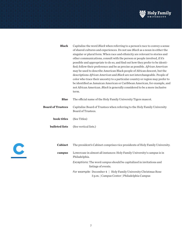

| <b>Black</b>             | Capitalize the word <i>Black</i> when referring to a person's race to convey a sense                                                                                                                                                       |
|--------------------------|--------------------------------------------------------------------------------------------------------------------------------------------------------------------------------------------------------------------------------------------|
|                          | of shared cultures and experiences. Do not use Black as a noun in either the                                                                                                                                                               |
|                          | singular or plural form. When race and ethnicity are relevant to stories and                                                                                                                                                               |
|                          | other communications, consult with the person or people involved, if it's                                                                                                                                                                  |
|                          | possible and appropriate to do so, and find out how they prefer to be identi-                                                                                                                                                              |
|                          | fied; follow their preference and be as precise as possible. African American                                                                                                                                                              |
|                          | may be used to describe American Black people of African descent, but the                                                                                                                                                                  |
|                          | descriptions African American and Black are not interchangeable. People of<br>color who trace their ancestry to a particular country or region may prefer to<br>be identified as Jamaican American or Caribbean American, for example, and |
|                          | not African American. Black is generally considered to be a more inclusive                                                                                                                                                                 |
|                          | term.                                                                                                                                                                                                                                      |
|                          |                                                                                                                                                                                                                                            |
| <b>Blue</b>              | The official name of the Holy Family University Tigers mascot.                                                                                                                                                                             |
| <b>Board of Trustees</b> | Capitalize Board of Trustees when referring to the Holy Family University<br>Board of Trustees.                                                                                                                                            |
| book titles              | (See Titles)                                                                                                                                                                                                                               |
| bulleted lists           | (See vertical lists.)                                                                                                                                                                                                                      |
|                          |                                                                                                                                                                                                                                            |



| <b>Cabinet</b> | The president's Cabinet comprises vice presidents of Holy Family University.                                         |
|----------------|----------------------------------------------------------------------------------------------------------------------|
| campus         | Lowercase in almost all instances: Holy Family University's campus is in<br>Philadelphia.                            |
|                | Exceptions: The word <i>campus</i> should be capitalized in invitations and<br>listings of events.                   |
|                | For example: December $4 \mid$ Holy Family University Christmas Rose<br>3 p.m.   Campus Center   Philadelphia Campus |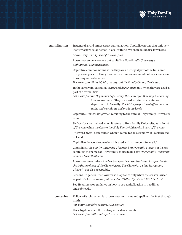

# **capitalization** In general, avoid unnecessary capitalization. Capitalize nouns that uniquely identify a particular person, place, or thing. When in doubt, use lowercase.

 *Some Holy Family-specific examples:*

 Lowercase *commencement* but capitalize *Holy Family University's 65th Annual Commencement*.

 Capitalize common nouns when they are an integral part of the full name of a person, place, or thing. Lowercase common nouns when they stand alone in subsequent references.

*For example: Philadelphia, the city*; but *the Family Center, the Center.*

 In the same vein, capitalize *center* and *department* only when they are used as part of a formal title.

*For example: the Department of History*; *the Center for Teaching & Learning*. Lowercase them if they are used to refer to a center or department informally: *The history department offers courses at the undergraduate and graduate levels.* 

 Capitalize *Homecoming* when referring to the annual Holy Family University event.

 *University* is capitalized when it refers to Holy Family University, as is *Board of Trustees* when it refers to the *Holy Family University Board of Trustees*.

 The word *Mass* is capitalized when it refers to the ceremony. It is celebrated, not said.

Capitalize the word *room* when it is used with a number: *Room 827*.

 Capitalize *Holy Family University Tigers* and *Holy Family Tigers*, but do not capitalize the names of Holy Family sports teams: *the Holy Family University women's basketball team*.

 Lowercase *class* unless it refers to a specific class: *She is the class president; she is the president of the Class of 2015. The Class of 1975 had its reunion. Class of '75* is also acceptable.

 Seasons: In general, use lowercase. Capitalize only when the season is used as part of a formal name: *fall semester, "Father Ryan's Fall 2017 Lecture"*.

 See Headlines for guidance on how to use capitalization in headlines and subheads.

**centuries** Follow AP style, which is to lowercase centuries and spell out the first through ninth.

*For example: third century, 19th century*.

 Use a hyphen when the century is used as a modifier. *For example: 18th-century classical music.*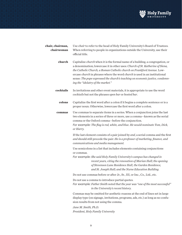

| chair, chairman,<br>chairwoman | Use <i>chair</i> to refer to the head of Holy Family University's Board of Trustees.<br>When referring to people in organizations outside the University, use their<br>official title.                                                                                                                                                                                                                                                                      |
|--------------------------------|-------------------------------------------------------------------------------------------------------------------------------------------------------------------------------------------------------------------------------------------------------------------------------------------------------------------------------------------------------------------------------------------------------------------------------------------------------------|
| church                         | Capitalize church when it is the formal name of a building, a congregation, or<br>a denomination; lowercase it in other uses: Church of St. Katherine of Siena,<br>the Catholic Church, a Roman Catholic church on Frankford Avenue. Low-<br>ercase <i>church</i> in phrases where the word <i>church</i> is used in an institutional<br>sense: The pope expressed the church's teaching on economic justice, condemn-<br>ing the "idolatry of the market." |
| cocktails                      | In invitations and other event materials, it is appropriate to use the word<br>cocktails but not the phrases open bar or hosted bar.                                                                                                                                                                                                                                                                                                                        |
| colons                         | Capitalize the first word after a colon if it begins a complete sentence or is a<br>proper noun. Otherwise, lowercase the first word after a colon.                                                                                                                                                                                                                                                                                                         |
| commas                         | Use commas to separate items in a series. When a conjunction joins the last<br>two elements in a series of three or more, use a comma-known as the serial<br>comma or the Oxford comma-before the conjunction.<br>For example: The flag is red, white, and blue. He would nominate Tom, Dick,<br>or Harry.                                                                                                                                                  |
|                                | If the last element consists of a pair joined by and, a serial comma and the first<br>and should still precede the pair: He is a professor of marketing, finance, and<br>communications and media management.                                                                                                                                                                                                                                               |
|                                | Use semicolons in a list that includes elements containing conjunctions<br>or commas.<br>For example: She said Holy Family University's campus has changed in<br>recent years, citing the renovation of Marian Hall; the opening<br>of Stevenson Lane Residence Hall, the Garden Residence,<br>and St. Joseph Hall; and the Nurse Education Building.                                                                                                       |
|                                | Do not use commas before or after Jr., Sr., III, or Inc., Co., Ltd., etc.                                                                                                                                                                                                                                                                                                                                                                                   |
|                                | Do not use a comma to introduce partial quotes.<br>For example: Father Smith noted that the year was "one of the most successful"<br>in the University's recent history.                                                                                                                                                                                                                                                                                    |
|                                | Commas may be omitted for aesthetic reasons at the end of lines set in large<br>display type (on signage, invitations, programs, ads, etc.) as long as no confu-<br>sion results from not using the comma.                                                                                                                                                                                                                                                  |
|                                | Jane M. Smith, Ph.D.<br>President, Holy Family University                                                                                                                                                                                                                                                                                                                                                                                                   |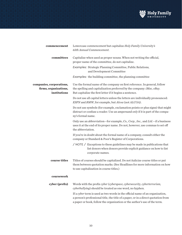

| commencement                                                      | Lowercase commencement but capitalize Holy Family University's<br>65th Annual Commencement.                                                                                                                                                      |
|-------------------------------------------------------------------|--------------------------------------------------------------------------------------------------------------------------------------------------------------------------------------------------------------------------------------------------|
| committees                                                        | Capitalize when used as proper nouns. When not writing the official,<br>proper name of the committee, do not capitalize.                                                                                                                         |
|                                                                   | Examples: Strategic Planning Committee, Public Relations,<br>and Development Committee                                                                                                                                                           |
|                                                                   | Examples: the building committee, the planning committee                                                                                                                                                                                         |
| companies, corporations,<br>firms, organizations,<br>institutions | Use the formal name of the company on first reference. In general, follow<br>the spelling and capitalization preferred by the company: iMac, eBay.<br>But capitalize the first letter if it begins a sentence.                                   |
|                                                                   | Do not use all capital letters unless the letters are individually pronounced:<br>ESPN and BMW, for example, but Alcoa (not ALCOA).                                                                                                              |
|                                                                   | Do not use symbols (for example, exclamation points or plus signs) that might<br>distract or confuse a reader. Use an ampersand only if it is part of the compa-<br>ny's formal name.                                                            |
|                                                                   | Only use an abbreviation-for example, Co., Corp., Inc., and Ltd.-if a business<br>uses it at the end of its proper name. Do not, however, use commas to set off<br>the abbreviation.                                                             |
|                                                                   | If you're in doubt about the formal name of a company, consult either the<br>company or Standard & Poor's Register of Corporations.                                                                                                              |
|                                                                   | / NOTE / Exceptions to these guidelines may be made in publications that<br>list donors when donors provide explicit guidance on how to list<br>corporate names.                                                                                 |
| course titles                                                     | Titles of courses should be capitalized. Do not italicize course titles or put<br>them between quotation marks. (See Headlines for more information on how<br>to use capitalization in course titles.)                                           |
| coursework                                                        |                                                                                                                                                                                                                                                  |
| cyber (prefix)                                                    | Words with the prefix cyber (cyberspace, cybersecurity, cyberterrorism,<br>cyberbullying) should be treated as one word, no hyphen.                                                                                                              |
|                                                                   | If a cyber term is used as two words in the official name of an organization,<br>a person's professional title, the title of a paper, or in a direct quotation from<br>a paper or book, follow the organization or the author's use of the term. |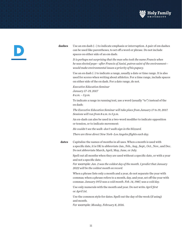



**dashes** Use an em dash (—) to indicate emphasis or interruption. A pair of em dashes can be used like parentheses, to set off a word or phrase. Do not include spaces on either side of an em dash:

> *It is perhaps not surprising that the man who took the name Francis when he was elected pope—after Francis of Assisi, patron saint of the environment would make environmental issues a priority of his papacy.*

 Use an en dash (–) to indicate a range, usually a date or time range. It is also used for scores when writing about athletics. For a time range, include spaces on either side of the en dash. For a date range, do not.

 *Executive Education Seminar January 17–19, 2017 8 a.m. – 5 p.m.*

 To indicate a range in running text, use a word (usually "to") instead of the en dash:

 *The Executive Education Seminar will take place from January 17 to 19, 2017. Sessions will run from 8 a.m. to 5 p.m.*

 An en-dash can also be used in a two-word modifier to indicate opposition or tension, or to indicate movement:

*He couldn't see the walk–don't walk sign in the blizzard.*

*There are three direct New York–Los Angeles flights each day.*

**dates** Capitalize the names of months in all uses. When a month is used with a specific date, it is OK to abbreviate Jan., Feb., Aug., Sept., Oct., Nov., and Dec. Do not abbreviate March, April, May, June, or July.

> Spell out all months when they are used without a specific date, or with a year and not a specific date.

*For example: Jan. 2 was the coldest day of the month. I predict that January 2022 will be the coldest month on record.*

 When a phrase lists only a month and a year, do not separate the year with commas; when a phrase refers to a month, day, and year, set off the year with commas: *January 1972 was a cold month. Feb. 14, 1987, was a cold day.*

 Use only numerals with the month and year. Do not write *April first* or *April 1st.*

 Use the common style for dates. Spell out the day of the week (if using) and month.

*For example: Monday, February 8, 2016*.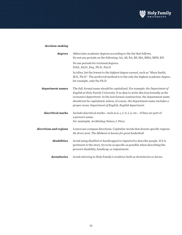

# **decision-making**

| degrees                | Abbreviate academic degrees according to the list that follows.<br>Do not use periods on the following: AA, AS, BA, BS, MA, MBA, MSN, RN                                                                                                                                                                                                                                                 |
|------------------------|------------------------------------------------------------------------------------------------------------------------------------------------------------------------------------------------------------------------------------------------------------------------------------------------------------------------------------------------------------------------------------------|
|                        | Do use periods for terminal degrees:<br>D.Ed., Ed.D., Esq., Ph.D., Psy.D.                                                                                                                                                                                                                                                                                                                |
|                        | In titles, list the lowest to the highest degree earned, such as "Mary Smith,<br>M.S., Ph.D.". The preferred method is to list only the highest academic degree,<br>for example, only the Ph.D.                                                                                                                                                                                          |
| department names       | The full, formal name should be capitalized. For example: the Department of<br>English at Holy Family University. It is okay to write this less formally as the<br>economics department. In the less formal construction, the department name<br>should not be capitalized, unless, of course, the department name includes a<br>proper noun: Department of English, English department. |
| diacritical marks      | Include diacritical marks-such as $\acute{a}$ , $\acute{c}$ , $\acute{e}$ , $\ddot{n}$ , $\acute{o}$ , $\ddot{u}$ , etc.-if they are part of<br>a person's name.<br>For example, Archbishop Nelson J. Pérez                                                                                                                                                                              |
| directions and regions | Lowercase compass directions. Capitalize words that denote specific regions:<br>He drove west. The Midwest is known for great basketball.                                                                                                                                                                                                                                                |
| disabilities           | Avoid using disabled or handicapped or impaired to describe people. If it is<br>pertinent to the story, try to be as specific as possible when describing the<br>person's disability, handicap, or impairment.                                                                                                                                                                           |
| dormitories            | Avoid referring to Holy Family's residence halls as dormitories or dorms.                                                                                                                                                                                                                                                                                                                |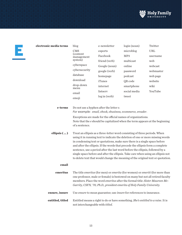

| electronic media terms | blog                                                                                                                                                                 | e-newsletter                                                                                                                                                                                                                                                                                                                                                                                                                                                                                                                                                                         | login (noun) | Twitter    |
|------------------------|----------------------------------------------------------------------------------------------------------------------------------------------------------------------|--------------------------------------------------------------------------------------------------------------------------------------------------------------------------------------------------------------------------------------------------------------------------------------------------------------------------------------------------------------------------------------------------------------------------------------------------------------------------------------------------------------------------------------------------------------------------------------|--------------|------------|
|                        | <b>CMS</b><br>(content<br>management                                                                                                                                 | esports                                                                                                                                                                                                                                                                                                                                                                                                                                                                                                                                                                              | microblog    | <b>URL</b> |
|                        |                                                                                                                                                                      | Facebook                                                                                                                                                                                                                                                                                                                                                                                                                                                                                                                                                                             | MP3          | username   |
|                        | system)                                                                                                                                                              | friend (verb)                                                                                                                                                                                                                                                                                                                                                                                                                                                                                                                                                                        | multicast    | web        |
|                        | cyberspace                                                                                                                                                           | Google (noun)                                                                                                                                                                                                                                                                                                                                                                                                                                                                                                                                                                        | online       | webcast    |
|                        | cybersecurity                                                                                                                                                        | google (verb)                                                                                                                                                                                                                                                                                                                                                                                                                                                                                                                                                                        | password     | webmaster  |
|                        | database                                                                                                                                                             | homepage                                                                                                                                                                                                                                                                                                                                                                                                                                                                                                                                                                             | podcast      | web page   |
|                        | download                                                                                                                                                             | iTunes                                                                                                                                                                                                                                                                                                                                                                                                                                                                                                                                                                               | QR code      | website    |
|                        | drop-down<br>menu                                                                                                                                                    | internet                                                                                                                                                                                                                                                                                                                                                                                                                                                                                                                                                                             | smartphone   | wiki       |
|                        | email                                                                                                                                                                | listserv                                                                                                                                                                                                                                                                                                                                                                                                                                                                                                                                                                             | social media | YouTube    |
|                        | emoji                                                                                                                                                                | $log$ in (verb)                                                                                                                                                                                                                                                                                                                                                                                                                                                                                                                                                                      | tweet        |            |
| e-terms                | Do not use a hyphen after the letter e.<br>For example: email, ebook, ebusiness, ecommerce, ereader.<br>Exceptions are made for the official names of organizations. |                                                                                                                                                                                                                                                                                                                                                                                                                                                                                                                                                                                      |              |            |
|                        | Note that the e should be capitalized when the term appears at the beginning<br>of a sentence.                                                                       |                                                                                                                                                                                                                                                                                                                                                                                                                                                                                                                                                                                      |              |            |
| ellipsis ()            |                                                                                                                                                                      | Treat an ellipsis as a three-letter word consisting of three periods. When<br>using it in running text to indicate the deletion of one or more missing words<br>in condensing text or quotations, make sure there is a single space before<br>and after the ellipsis. If the words that precede the ellipsis form a complete<br>sentence, use a period after the last word before the ellipsis, followed by a<br>single space before and after the ellipsis. Take care when using an ellipsis not<br>to delete text that would change the meaning of the original text or quotation. |              |            |
| email                  |                                                                                                                                                                      |                                                                                                                                                                                                                                                                                                                                                                                                                                                                                                                                                                                      |              |            |

| emeritus         | The title <i>emeritus</i> (for men) or <i>emerita</i> (for women) or <i>emeriti</i> (for more than |
|------------------|----------------------------------------------------------------------------------------------------|
|                  | one professor, male or female) is bestowed on many but not all retired faculty                     |
|                  | members. Place the word <i>emeritus</i> after the formal title: <i>Sister Maureen Mc-</i>          |
|                  | Garrity, CSFN, '70, Ph.D., president emerita of Holy Family University.                            |
|                  |                                                                                                    |
| ensure, insure   | Use ensure to mean guarantee; use <i>insure</i> for references to insurance.                       |
|                  |                                                                                                    |
| entitled, titled | Entitled means a right to do or have something. She's entitled to a raise. It is                   |
|                  | not interchangeable with titled.                                                                   |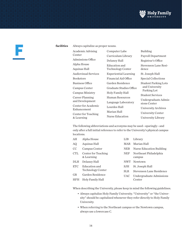



| Academic Advising<br>Center        | Computer Labs                      | Building                                 |
|------------------------------------|------------------------------------|------------------------------------------|
| Admissions Office                  | Curriculum Library<br>Delaney Hall | Payroll Department<br>Registrar's Office |
| Alpha House                        | Education and                      | Stevenson Lane Resi-                     |
| Aquinas Hall                       | <b>Technology Center</b>           | dence                                    |
| <b>Audiovisual Services</b>        | <b>Experiential Learning</b>       | St. Joseph Hall                          |
| <b>Bookstore</b>                   | Financial Aid Office               | Special Collections                      |
| <b>Business Office</b>             | Garden Residence                   | <b>Student Parking Lots</b>              |
| Campus Center                      | Graduate Studies Office            | and University<br>Parking Lot            |
| Campus Ministry                    | Holy Family Hall                   | <b>Student Services</b>                  |
| Career Planning                    | Human Resources                    | Undergraduate Admis-                     |
| and Development                    | Language Laboratory                | sions Center                             |
| Center for Academic<br>Enhancement | Lourdes Hall                       | University Archives                      |
| Center for Teaching                | Marian Hall                        | University Center                        |
| & Learning                         | Nurse Education                    | University Library                       |

 The following abbreviations and acronyms may be used—sparingly—and only after a full initial reference to refer to the University's physical campus locations.

| AH            | Alpha House                       | LIB        | Library                          |
|---------------|-----------------------------------|------------|----------------------------------|
| AQ.           | Aquinas Hall                      | MAR        | Marian Hall                      |
| <sub>CC</sub> | Campus Center                     | <b>NEB</b> | Nurse Education Building         |
| <b>CTL</b>    | Center for Teaching<br>& Learning | <b>NEP</b> | Northeast Philadelphia<br>campus |
| DLH           | Delaney Hall                      | <b>NWT</b> | Newtown                          |
| <b>ETC</b>    | Education and                     | SJH        | St. Joseph Hall                  |
|               | Technology Center                 | <b>SLR</b> | Stevenson Lane Residence         |
| <b>GR</b>     | Garden Residence                  | UAC        | Undergraduate Admissions         |
| <b>HFH</b>    | Holy Family Hall                  |            | Center                           |

When describing the University, please keep in mind the following guidelines.

- Always capitalize Holy Family University. "University" or "the University" should be capitalized whenever they refer directly to Holy Family University.
- When referring to the Northeast campus or the Newtown campus, always use a lowercase C.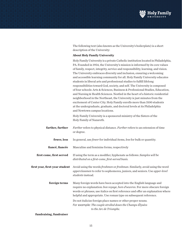

 The following text (also known as the University's boilerplate) is a short description of the University:

# **About Holy Family University**

 Holy Family University is a private Catholic institution located in Philadelphia, PA. Founded in 1954, the University's mission is informed by its core values of family, respect, integrity, service and responsibility, learning, and vision. The University embraces diversity and inclusion, ensuring a welcoming and accessible learning community for all. Holy Family University educates students in liberal arts and professional studies to fulfill lifelong responsibilities toward God, society, and self. The University is composed of four schools: Arts & Sciences, Business & Professional Studies, Education, and Nursing & Health Sciences. Nestled in the heart of a historic residential neighborhood in the Northeast, the University is just minutes from the excitement of Center City. Holy Family enrolls more than 3100 students at the undergraduate, graduate, and doctoral levels at its Philadelphia and Newtown campus locations.

 Holy Family University is a sponsored ministry of the Sisters of the Holy Family of Nazareth.

| farther, further               | <i>Farther</i> refers to physical distance. <i>Further</i> refers to an extension of time<br>or degree.                                                                                                                                                                                                    |
|--------------------------------|------------------------------------------------------------------------------------------------------------------------------------------------------------------------------------------------------------------------------------------------------------------------------------------------------------|
| fewer, less                    | In general, use <i>fewer</i> for individual items, less for bulk or quantity.                                                                                                                                                                                                                              |
| fiancé, fiancée                | Masculine and feminine forms, respectively                                                                                                                                                                                                                                                                 |
| first come, first served       | If using the term as a modifier, hyphenate as follows: Samples will be<br>distributed on a first-come, first-served basis.                                                                                                                                                                                 |
| first year, first-year student | Avoid using the words <i>freshmen</i> or <i>freshman</i> . Similarly, avoid using the word<br>upperclassmen to refer to sophomores, juniors, and seniors. Use upper-level<br>students instead.                                                                                                             |
| foreign terms                  | Many foreign words have been accepted into the English language and<br>require no explanation: bon voyage, hors d'oeuvres. For more obscure foreign<br>words or phrases, use italics on first reference and offer an explanation where<br>helpful and appropriate. Use roman type on subsequent reference. |
|                                | Do not italicize foreign place names or other proper nouns.<br>For example: The couple strolled down the Champs-Élysées<br>to the Arc de Triomphe.                                                                                                                                                         |

**fundraising, fundraiser**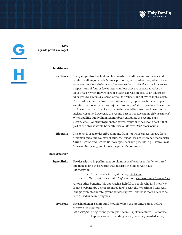

**GPA (grade point average)**

G

H

# **healthcare**

**headlines** Always capitalize the first and last words in headlines and subheads, and capitalize all major words (nouns, pronouns, verbs, adjectives, adverbs, and some conjunctions) in between. Lowercase the articles *the*, *a*, *an*. Lowercase prepositions of four or fewer letters, unless they are used as adverbs or adjectives or when they're part of a Latin expression used as an adverb or adjective (*De Facto*, *In Vitro*). Capitalize prepositions of five or more letters. The word *to* should be lowercase not only as a preposition but also as part of an infinitive. Lowercase the conjunctions *and*, *but*, *for*, *or*, and *nor*. Lowercase *as*. Lowercase the parts of a surname that would be lowercase in running text, such as *van* or *de*. Lowercase the second part of a species name (*Homo sapiens*). When spelling out hyphenated numbers, capitalize the second part: *Twenty-Five*. For other hyphenated terms, capitalize the second part if that part of the phrase would be capitalized on its own (*2nd-Floor Lounge*). **Hispanic** This term is used to describe someone from—or whose ancestors are from a Spanish-speaking country or culture. *Hispanic* is not interchangeable with

**hors d'oeuvre**

**hyperlinks** Use descriptive hyperlink text. Avoid nonspecific phrases like "click here" and instead link those words that describe the linked web page. *For instance:*

*Mexican American*), and follow the person's preference.

Incorrect: *To access our faculty directory, click here*. Correct: *For a professor's contact information, search our faculty directory*.

*Latino*, *Latina*, and *Latinx*. Be more specific when possible (e.g., *Puerto Rican,* 

 Among other benefits, this approach is helpful to people who find their way around websites by using screen readers to scan the hyperlinked text. And it helps promote the site, given that descriptive link text is more likely to be recognized by search engines.

hyphens for words ending in -ly (the poorly worded letter).

**hyphens** Use a hyphen in a compound modifier when the modifier comes before the word it's modifying. *For example:* a dog-friendly campus, the well-spoken lecturer. Do not use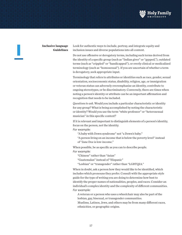

I

**Inclusive language** Look for authentic ways to include, portray, and integrate equity and **Guidelines** inclusion issues and diverse populations into all content.

> Do not use offensive or derogatory terms, including such terms derived from the identity of a specific group (such as "Indian giver" or "gypped,"), outdated terms (such as "crippled" or "handicapped"), or overly clinical or medicalized terminology (such as "homosexual"). If you are uncertain of whether a term is derogatory, seek appropriate input.

> Terminology that refers to attributes or identities such as race, gender, sexual orientation, socioeconomic status, disability, religion, age, or immigration or veteran status can adversely overemphasize an identity, contribute to ongoing stereotypes, or be discriminatory. Conversely, there are times when noting a person's identity or attribute can be an important affirmation and recognition that needs to be included.

 *Questions to ask.* Would you include a particular characteristic or identity for any group? What is being accomplished by noting the characteristic or identity? Would you use the term "white professor" or "heterosexual musician" in this specific context?

 If it is relevant and important to distinguish elements of a person's identity, focus on the person, not the identity.

*For example:*

"A baby with Down syndrome" not "a Down's baby."

 "A person living on an income that is below the poverty level" instead of "Jane Doe is low-income."

 When possible, be as specific as you can to describe people. *For example:*

"Chinese" rather than "Asian"

"Guatemalan" instead of "Hispanic"

"Lesbian" or "transgender" rather than "LGBTQIA."

 When in doubt, ask a person how they would like to be identified, which includes which pronouns they prefer. Consult with the appropriate style guide for the type of writing you are doing to determine how best to identify the proper names of nationalities, peoples, and races. Consider an individual's complex identity and the complexity of different communities. *For example:*

 A veteran or a person who uses a wheelchair may also be part of the lesbian, gay, bisexual, or transgender communities.

Muslims, Latinos, Jews, and others may be from many different races, ethnicities, or geographic origins.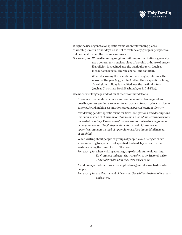

 Weigh the use of general or specific terms when referencing places of worship, events, or holidays, so as not to exclude any group or perspective, but be specific when the instance requires.

*For example:* When discussing religious buildings or institutions generally, use a general term such as place of worship or house of prayer; if a religion is specified, use the particular term (such as mosque, synagogue, church, chapel, and so forth).

> When discussing the calendar or date ranges, reference the season of the year (e.g., winter) rather than a specific holiday; if a religious holiday is specified, use the particular term (such as Christmas, Rosh Hashanah, or Eid al-Fitr).

Use nonsexist language and follow these recommendations:

 In general, use gender-inclusive and gender-neutral language when possible, unless gender is relevant to a story or noteworthy in a particular context. Avoid making assumptions about a person's gender identity.

 Avoid using gender-specific terms for titles, occupations, and descriptions: Use *chair* instead of *chairman* or *chairwoman.* Use *administrative assistant* instead of *secretary*. Use *representative* or *senator* instead of *congressman*  or *congresswoman*. Use *first-year students* instead of *freshmen* and *upper-level students* instead of *upperclassmen*. Use *humankind* instead of *mankind*.

 When writing about people or groups of people, avoid using *he* or *she*  when referring to a person not specified. Instead, try to rewrite the sentence using the plural form of the noun.

*For example:* when writing about a group of students, avoid writing *Each student did what she was asked to do.* Instead, write *The students did what they were asked to do.*

 Avoid binary constructions when applied in a general sense to describe people.

*For example:* use *they* instead of *he or she*. Use *siblings* instead of *brothers and sisters*.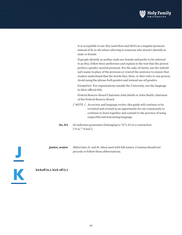

 It is acceptable to use *they* (and *them* and *their*) as a singular pronoun instead of *he* or *she* when referring to someone who doesn't identify as male or female.

 If people identify as neither male nor female and prefer to be referred to as *they*, follow their preference and explain in the text that the person prefers a gender-neutral pronoun. For the sake of clarity, use the individual's name in place of the pronoun or reword the sentence to ensure that readers understand that the words *the*y, *them*, or *their* refer to one person. Avoid using the phrase *both genders* and instead use *all genders*.

 *Exception:* For organizations outside the University, use the language in their official title.

 Federal Reserve Board Chairman John Smith or John Smith, chairman of the Federal Reserve Board

- / NOTE / As society and language evolve, this guide will continue to be revisited and revised as an opportunity for our community to continue to learn together and commit to the practice of using respectful and welcoming language.
- **its, it's** *Its* indicates possession (belonging to "it"); *it's* is a contraction ("it is," "it has").

**junior, senior** Abbreviate *Jr.* and *Sr.* when used with full names. Commas should not precede or follow these abbreviations.

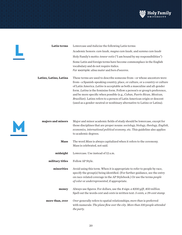

| Lowercase and italicize the following Latin terms:                                                                                                                                                                                                                                                                                                                                                                                                                                                                                                   |  |
|------------------------------------------------------------------------------------------------------------------------------------------------------------------------------------------------------------------------------------------------------------------------------------------------------------------------------------------------------------------------------------------------------------------------------------------------------------------------------------------------------------------------------------------------------|--|
| Academic honors: cum laude, magna cum laude, and summa cum laude                                                                                                                                                                                                                                                                                                                                                                                                                                                                                     |  |
| Holy Family's motto: <i>teneor votis</i> ("I am bound by my responsibilities")                                                                                                                                                                                                                                                                                                                                                                                                                                                                       |  |
| Some Latin and foreign terms have become commonplace in the English<br>vocabulary and do not require italics.                                                                                                                                                                                                                                                                                                                                                                                                                                        |  |
| For example: alma mater and hors d'oeuvres.                                                                                                                                                                                                                                                                                                                                                                                                                                                                                                          |  |
| These terms are used to describe someone from—or whose ancestors were<br>from—a Spanish-speaking country, place, or culture, or a country or culture<br>of Latin America. Latino is acceptable as both a masculine and all-gender<br>form. Latina is the feminine form. Follow a person's or group's preference,<br>and be more specific when possible (e.g., Cuban, Puerto Rican, Mexican,<br>Brazilian). Latinx refers to a person of Latin American origin or descent<br>(used as a gender-neutral or nonbinary alternative to Latino or Latina). |  |
|                                                                                                                                                                                                                                                                                                                                                                                                                                                                                                                                                      |  |



L

| majors and minors | Major and minor academic fields of study should be lowercase, except for<br>those disciplines that are proper nouns: sociology, biology, theology, English,<br>economics, international political economy, etc. This guideline also applies<br>to academic degrees.                 |
|-------------------|-------------------------------------------------------------------------------------------------------------------------------------------------------------------------------------------------------------------------------------------------------------------------------------|
| <b>Mass</b>       | The word Mass is always capitalized when it refers to the ceremony.                                                                                                                                                                                                                 |
|                   | Mass is celebrated, not said.                                                                                                                                                                                                                                                       |
| midnight          | Lowercase. Use instead of 12 a.m.                                                                                                                                                                                                                                                   |
| military titles   | Follow AP Style.                                                                                                                                                                                                                                                                    |
| minorities        | Avoid using this term. When it is appropriate to refer to people by race,<br>specify the group(s) being identified. (For further guidance, see the entry<br>on race-related coverage in the AP Stylebook.) Or use the terms people<br>of color or underrepresented, if appropriate. |
| money             | Always use figures. For dollars, use the \$ sign: a \$200 gift, \$50 million.<br>Spell out the words cent and cents in written text: 5 cents, a 39-cent stamp.                                                                                                                      |
| more than, over   | Over generally refers to spatial relationships; more than is preferred<br>with numerals: The plane flew over the city. More than 100 people attended<br>the party.                                                                                                                  |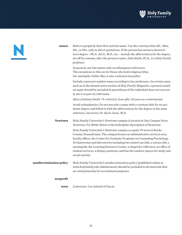

|--|

| names                    | Refer to people by their first and last name. Use the courtesy titles Mr., Miss,<br>$Ms$ , or Mrs. only in direct quotations. If the person has earned a doctoral-<br>level degree-Ph.D., Ed.D., M.D., etc.-include the abbreviation for the degree,<br>set off by commas, after the person's name: John Smith, Ph.D., is a Holy Family<br>professor.                                                                                                                                                  |
|--------------------------|--------------------------------------------------------------------------------------------------------------------------------------------------------------------------------------------------------------------------------------------------------------------------------------------------------------------------------------------------------------------------------------------------------------------------------------------------------------------------------------------------------|
|                          | In general, use last names only on subsequent references.<br>The exceptions to this are for those who hold religious titles.<br>For example: Father Mac is also a talented storyteller.                                                                                                                                                                                                                                                                                                                |
|                          | Include a person's maiden name according to her preference. In certain cases,<br>such as in the alumni notes section of Holy Family Magazine, a person's maid-<br>en name should be included in parentheses if the individual does not current-<br>ly use it as part of a full name.                                                                                                                                                                                                                   |
|                          | Mary (Jenkins) Smith '79, retired in June after 35 years as a veterinarian.                                                                                                                                                                                                                                                                                                                                                                                                                            |
|                          | Avoid redundancies: Do not precede a name with a courtesy title for an aca-<br>demic degree and follow it with the abbreviation for the degree in the same<br>reference. Incorrect: Dr. Kevin Jones, M.D.                                                                                                                                                                                                                                                                                              |
| <b>Newtown</b>           | Holy Family University's Newtown campus is located at One Campus Drive,<br>Newtown, PA 18940. Below is the boilerplate description of Newtown:                                                                                                                                                                                                                                                                                                                                                         |
|                          | Holy Family University's Newtown campus occupies 79 acres in Bucks<br>County, Pennsylvania. The campus houses an administrative services area,<br>faculty offices, the Center for Graduate Programs in Counseling Psychology,<br>10 classrooms and laboratories including two mixed-use labs, a science lab, a<br>nursing lab, the Learning Resource Center, a chapel for reflection, an office of<br>student services, a dining commons, and bucolic outdoor spaces for study and<br>social activity. |
| nondiscrimination policy | Holy Family University's nondiscrimination policy (published online at<br>www.holyfamily.edu/ndstatement) should be included in all materials that<br>are used primarily for recruitment purposes.                                                                                                                                                                                                                                                                                                     |
| nonprofit                |                                                                                                                                                                                                                                                                                                                                                                                                                                                                                                        |
| noon                     | Lowercase. Use instead of 12 p.m.                                                                                                                                                                                                                                                                                                                                                                                                                                                                      |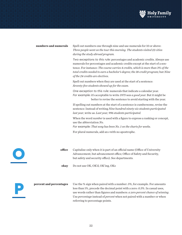

# **numbers and numerals** Spell out numbers one through nine and use numerals for 10 or above: *Three people went on the tour this morning. The students visited 22 cities during the study abroad program.*

 *Two exceptions to this rule:* percentages and academic credits. Always use numerals for percentages and academic credits except at the start of a sentence. For instance: *The course carries 4 credits, which is more than 3% of the total credits needed to earn a bachelor's degree; the 18-credit program;* but *Nine of the 24 credits are electives*.

Spell out numbers when they are used at the start of a sentence: *Seventy-five students showed up for the exam.*

 *One exception to this rule:* numerals that indicate a calendar year. *For example*: it's acceptable to write *1975 was a good year.* But it might be better to revise the sentence to avoid starting with the year.

If spelling out numbers at the start of a sentence is cumbersome, revise the sentence: Instead of writing *Nine hundred ninety-six students participated last year*, write as: *Last year, 996 students participated.*

 When the word *number* is used with a figure to express a ranking or concept, use the abbreviation *No.* 

*For example: That song has been No. 1 on the charts for weeks.*

For plural numerals, add an *s* with no apostrophe.

**office** Capitalize only when it is part of an official name (Office of University Advancement, but advancement office; Office of Safety and Security, but safety and security office). See departments.

**okay** Do not use OK, OK'd, OK'ing, OKs

O

P

**percent and percentages** Use the % sign when paired with a number: *5%*, for example. For amounts less than 1%, precede the decimal point with a zero: *0.3%*. In casual uses, use words rather than figures and numbers: *a zero percent chance of winning*. Use *percentage* instead of *percent* when not paired with a number or when referring to percentage points.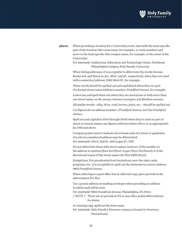

**places** When providing a location for a University event, start with the most specific part of the location (the room name, for example, or room number) and move to the least specific (the campus name, for example, or the name of the University).

> *For example:* Auditorium, Education and Technology Center, Northeast Philadelphia Campus, Holy Family University.

 When listing addresses, it is acceptable to abbreviate the words Avenue, Boulevard, and Street as *Ave*., *Blvd*., and *St.,* respectively, when they are used with a numerical address: *2982 Main St*., for example.

 Those words should be spelled out and capitalized when they are part of a formal street name without a number: *Frankford Avenue*, for example.

 Lowercase and spell them out when they are used alone or with more than one street name: *on the avenue*, *between Lexington and Madison avenues*.

All similar words—*alley, drive, road, terrace, place,* etc.—should be spelled out.

 Use figures for an address number: *1 Frankford Avenue*, not *One Frankford Avenue.*

 Spell out and capitalize *First* through *Ninth* when they're used as part of street or avenue names; use figures with two letters (*th* or *st*, as appropriate) for *10th* and above.

 Compass points used to indicate directional ends of a street or quadrants of a city in a numbered address may be abbreviated. *For example:* 325 E. 2nd St., 600 Logan Pl., N.W.

 Do not abbreviate them with street names, however, if the number in the address is omitted (*East 2nd Street, Logan Place Northwest*) or if the directional is part of the street name (*42 West Fifth Street*).

 *Exceptions:* For presidential-level invitations, save-the-date cards, programs, etc., it is acceptable to spell out the elements in a street address: *9801 Frankford Avenue.*

 When referring to a post office box in editorial copy, place periods in the abbreviation *P.O. Box*.

 Use a postal address on mailing envelopes when providing an address to which mail will be sent.

*For example:* 9801 Frankford Avenue, Philadelphia, PA 19114 / NOTE / There are no periods in PA or any other postal abbreviations for states.

In running copy, spell out the state name.

*For example: Holy Family's Newtown campus is located in Newtown, Pennsylvania*.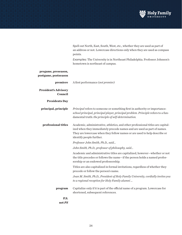

|                                             | Spell out North, East, South, West, etc., whether they are used as part of<br>an address or not. Lowercase directions only when they are used as compass<br>points.                                                                                                 |
|---------------------------------------------|---------------------------------------------------------------------------------------------------------------------------------------------------------------------------------------------------------------------------------------------------------------------|
|                                             | Examples: The University is in Northeast Philadelphia. Professor Johnson's<br>hometown is northeast of campus.                                                                                                                                                      |
| pregame, preseason,<br>postgame, postseason |                                                                                                                                                                                                                                                                     |
| premiere                                    | A first performance (not premier)                                                                                                                                                                                                                                   |
| <b>President's Advisory</b><br>Council      |                                                                                                                                                                                                                                                                     |
| <b>Presidents Day</b>                       |                                                                                                                                                                                                                                                                     |
| principal, principle                        | Principal refers to someone or something first in authority or importance:<br>school principal, principal player, principal problem. Principle refers to a fun-<br>damental truth: the principle of self-determination.                                             |
| professional titles                         | Academic, administrative, athletics, and other professional titles are capital-<br>ized when they immediately precede names and are used as part of names.<br>They are lowercase when they follow names or are used to help describe or<br>identify people further. |
|                                             | Professor John Smith, Ph.D., said                                                                                                                                                                                                                                   |
|                                             | John Smith, Ph.D., professor of philosophy, said                                                                                                                                                                                                                    |
|                                             | Academic and administrative titles are capitalized, however-whether or not<br>the title precedes or follows the name-if the person holds a named profes-<br>sorship or an endowed professorship.                                                                    |
|                                             | Titles are also capitalized in formal invitations, regardless of whether they<br>precede or follow the person's name.                                                                                                                                               |
|                                             | Joan M. Smith, Ph.D., President of Holy Family University, cordially invites you<br>to a regional reception for Holy Family alumni                                                                                                                                  |
| program                                     | Capitalize only if it is part of the official name of a program. Lowercase for<br>shortened, subsequent references.                                                                                                                                                 |
| P.S.<br>not PS                              |                                                                                                                                                                                                                                                                     |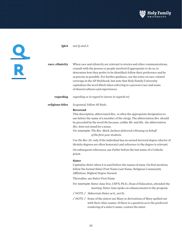

Q R

| race, ethnicity  | When race and ethnicity are relevant to stories and other communications,<br>consult with the person or people involved if appropriate to do so, to<br>determine how they prefer to be identified; follow their preference and be<br>as precise as possible. For further guidance, see the entry on race-related<br>coverage in the AP Stylebook, but note that Holy Family University<br>capitalizes the word Black when referring to a person's race and sense<br>of shared cultures and experiences. |
|------------------|---------------------------------------------------------------------------------------------------------------------------------------------------------------------------------------------------------------------------------------------------------------------------------------------------------------------------------------------------------------------------------------------------------------------------------------------------------------------------------------------------------|
| regarding        | regarding or in regard to (never in regards to)                                                                                                                                                                                                                                                                                                                                                                                                                                                         |
| religious titles | In general, follow AP Style.                                                                                                                                                                                                                                                                                                                                                                                                                                                                            |
|                  | <b>Reverend</b><br>This description, abbreviated Rev., is often the appropriate designation to<br>use before the name of a member of the clergy. The abbreviation Rev. should<br>be preceded by the word <i>the</i> because, unlike $Mr$ . and $Ms$ ., the abbreviation<br>Rev. does not stand for a noun.<br>For example: The Rev. Mark Jackson delivered a blessing on behalf<br>of the first-year students.                                                                                          |
|                  | Use the Rev. Dr. only if the individual has an earned doctoral degree (doctor of<br>divinity degrees are often honorary) and reference to the degree is relevant.                                                                                                                                                                                                                                                                                                                                       |
|                  | On subsequent references, use Father before the last name of a Catholic<br>priest.                                                                                                                                                                                                                                                                                                                                                                                                                      |
|                  | <b>Sister</b><br>Capitalize Sister when it is used before the names of nuns. On first mention,<br>follow the format Sister First Name Last Name, Religious Community<br>Affiliation, Highest Degree Earned.                                                                                                                                                                                                                                                                                             |
|                  | Thereafter, use Sister First Name                                                                                                                                                                                                                                                                                                                                                                                                                                                                       |
|                  | For example: Sister Jane Doe, CSFN, Ph.D., Dean of Education, attended the<br>meeting. Sister Jane spoke on enhancements to the program.                                                                                                                                                                                                                                                                                                                                                                |
|                  | / NOTE / Abbreviate Sister as S., not Sr.                                                                                                                                                                                                                                                                                                                                                                                                                                                               |
|                  | / NOTE / Some of the sisters use Mary or derivations of Mary spelled out<br>with their other names. If there is a question as to the preferred<br>rendering of a sister's name, contact the sister.                                                                                                                                                                                                                                                                                                     |

**Q&A** not *Q-and-A*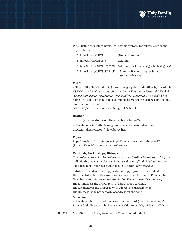

 When listing the Sisters' names, follow this protocol for religious order and degree clarity.

| S. Jane Smith, CSFN      | (Not an alumna)                                                         |
|--------------------------|-------------------------------------------------------------------------|
| S. Jane Smith, CSFN, '87 | (Alumna)                                                                |
|                          | S. Jane Smith, CSFN, '87, M'94 (Alumna, Bachelor, and graduate degrees) |
|                          | S. Jane Smith, CSFN, '87, Ph.D. (Alumna, Bachelor degree but not        |
|                          | graduate degree)                                                        |

## **CSFN**

A Sister of the Holy Family of Nazareth congregation is identified by the initials **CSFN** (Latin for *"Congregatio Sororum Sacrae Familiae de Nazareth*"; English: "*Congregation of the Sisters of the Holy Family of Nazareth*") placed after her name. These initials should appear immediately after the Sister's name before any other information.

*For example:* Sister Francesca Onley, CSFN '59, Ph.D.

# **Brother**

See the guidelines for *Sister*. Do not abbreviate *Brother*.

 Abbreviations for Catholic religious orders can be found online at: www.catholicdoors.com/misc/abbrev.htm

## **Popes**

Pope Francis on first reference; Pope Francis, the pope, or the pontiff (but not Francis) on subsequent references.

### **Cardinals, Archbishops, Bishops**

The preferred form for first reference is to use Cardinal before (not after) the individual's given name: *Nelson Pérez, archbishop of Philadelphia*. On second and subsequent references: Archbishop Pérez or *the archbishop*.

 Substitute the Most Rev. if applicable and appropriate in the context: He spoke to the Most Rev. Anthony Bevilacqua, archbishop of Philadelphia. On subsequent references, use *Archbishop Bevilacqua* or *the archbishop*. His Eminence is the proper form of address for a cardinal. His Excellency is the proper form of address for an archbishop. His Holiness is the proper form of address for the pope.

## **Monsignor**

Abbreviate this form of address (meaning "my lord") before the name of a Roman Catholic priest who has received this honor: *Msgr. Edward O'Meara.*

**R.S.V.P.** Not RSVP. Do not use *please* before *RSVP*. It is redundant.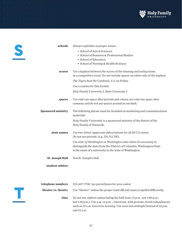

 $\mathbf I$ 

| schools                   | Always capitalize as proper nouns.                                          |  |
|---------------------------|-----------------------------------------------------------------------------|--|
|                           | • School of Arts & Sciences                                                 |  |
|                           | • School of Business & Professional Studies                                 |  |
|                           | · School of Education                                                       |  |
|                           | • School of Nursing & Health Sciences                                       |  |
| scores                    | Use a hyphen between the scores of the winning and losing teams             |  |
|                           | in a competitive event. Do not include spaces on either side of the hyphen. |  |
|                           | The Tigers beat the Cardinals, 5-3, on Friday.                              |  |
|                           | Use a comma for this format:                                                |  |
|                           | Holy Family University 5, State University 3                                |  |
| spaces                    | Use only one space after periods and colons; use only one space after       |  |
|                           | commas; and do not use spaces around an em dash.                            |  |
| <b>Sponsored ministry</b> | The following phrase must be included on marketing and communications       |  |
|                           | materials:                                                                  |  |
|                           | Holy Family University is a sponsored ministry of the Sisters of the        |  |
|                           | Holy Family of Nazareth.                                                    |  |
| state names               | Use two-letter, uppercase abbreviations for all 50 U.S. states.             |  |
|                           | Do not use periods. (e.g., PA, NJ, DE).                                     |  |
|                           | Use state of Washington or Washington state when it's necessary to          |  |
|                           | distinguish the state from the District of Columbia. Washington State       |  |
|                           | is the name of a university in the state of Washington.                     |  |
| <b>St. Joseph Hall</b>    | Not St. Joseph's Hall                                                       |  |
|                           |                                                                             |  |
| student-athlete           |                                                                             |  |
|                           |                                                                             |  |

| telephone numbers   | 215-637-7700 (no parentheses for area codes)                                                                                                                                                                                                            |
|---------------------|---------------------------------------------------------------------------------------------------------------------------------------------------------------------------------------------------------------------------------------------------------|
| theater vs. theatre | Use "theater" unless the proper (and official) name is spelled differently.                                                                                                                                                                             |
| time                | Do not use ciphers unless listing the half-hour: (1 p.m., not 1:00 p.m.;<br>but 1:30 p.m.). Use a.m. or p.m.—lowercase, with periods. Avoid redundancies<br>such as 10 a.m. tomorrow morning. Use noon and midnight instead of 12 p.m.<br>and $12$ a.m. |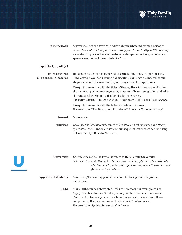

| time periods                             | Always spell out the word to in editorial copy when indicating a period of<br>time: The event will take place on Saturday from 8 a.m. to 10 p.m. When using<br>an en dash in place of the word to to indicate a period of time, include one<br>space on each side of the endash: $3 - 5 p.m$ .             |
|------------------------------------------|------------------------------------------------------------------------------------------------------------------------------------------------------------------------------------------------------------------------------------------------------------------------------------------------------------|
| $tipoff(n.)$ , tip off $(v.)$            |                                                                                                                                                                                                                                                                                                            |
| titles of works<br>and academic lectures | Italicize the titles of books, periodicals (including "The," if appropriate),<br>newsletters, plays, book-length poems, films, paintings, sculptures, comic<br>strips, radio and television series, and long musical compositions.                                                                         |
|                                          | Use quotation marks with the titles of theses, dissertations, art exhibitions,<br>short stories, poems, articles, essays, chapters of books, song titles, and other<br>short musical works, and episodes of television series.<br>For example: the "The One with the Apothecary Table" episode of Friends. |
|                                          | Use quotation marks with the titles of academic lectures.<br>For example: "The Beauty and Promise of Molecular Nanotechnology."                                                                                                                                                                            |
| toward                                   | Not towards                                                                                                                                                                                                                                                                                                |
| trustees                                 | Use Holy Family University Board of Trustees on first reference and Board<br>of Trustees, the Board or Trustees on subsequent references when referring<br>to Holy Family's Board of Trustees.                                                                                                             |
| <b>University</b>                        | University is capitalized when it refers to Holy Family University.<br>For example: Holy Family has two locations in Pennsylvania. The University                                                                                                                                                          |



*also has on-site partnership opportunities in healthcare settings for its nursing students.*

# **upper-level students** Avoid using the word *upperclassmen* to refer to sophomores, juniors, and seniors.

URLs Many URLs can be abbreviated. It is not necessary, for example, to use *http://* in web addresses. Similarly, it may not be necessary to use *www.* Test the URL to see if you can reach the desired web page without these components. If so, we recommend not using *http://* and *www. For example: Apply online at holyfamily.edu.*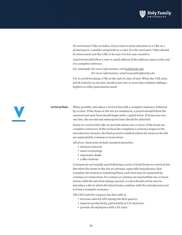

 Do not format URLs in italics. If you want to draw attention to a URL in a printed piece, consider using bold or a color. For the most part, URLs should be lowercased; test the URL to be sure it is not case-sensitive.

 A period should follow a web or email address if the address comes at the end of a complete sentence:

*For example: For more information, visit holyfamily.edu. For more information, email name@holyfamily.edu.*

 Try to avoid breaking a URL at the end of a line of text. When the URL does not fit entirely on one line, break it into two or more lines without adding a hyphen or other punctuation mark.

**vertical lists** When possible, introduce a vertical list with a complete sentence, followed by a colon. If the items in the list are numbered, a period should follow the numeral and each item should begin with a capital letter. If items run over one line, the second and subsequent lines should be indented.

> Items in a vertical list take no periods unless one or more of the items are complete sentences. If the vertical list completes a sentence begun in the introductory element, the final period is omitted unless the items in the list are separated by commas or semicolons.

 *All of our classrooms include standard amenities:*

- wireless Internet
- smart technology
- ergonomic desks
- coffee stations

 Commas are not usually used following a series of brief items in a vertical list. But when the items in the list are phrases, especially long phrases, that complete the sentence containing them, each item may be separated by commas (or semicolons, if a comma or commas are used within one or more items), with the last item taking a period. A colon should not be used to introduce a list in which the listed items combine with the introductory text to form a complete sentence.

 *The CEO said the company has been able to*

- increase sales by 22% during the first quarter;
- improve productivity, particularly in U.S. factories;
- provide all employees with a 3% raise.

V